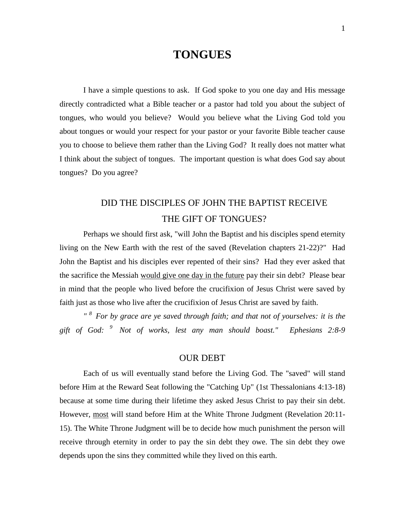#### **TONGUES**

I have a simple questions to ask. If God spoke to you one day and His message directly contradicted what a Bible teacher or a pastor had told you about the subject of tongues, who would you believe? Would you believe what the Living God told you about tongues or would your respect for your pastor or your favorite Bible teacher cause you to choose to believe them rather than the Living God? It really does not matter what I think about the subject of tongues. The important question is what does God say about tongues? Do you agree?

#### DID THE DISCIPLES OF JOHN THE BAPTIST RECEIVE THE GIFT OF TONGUES?

Perhaps we should first ask, "will John the Baptist and his disciples spend eternity living on the New Earth with the rest of the saved (Revelation chapters 21-22)?" Had John the Baptist and his disciples ever repented of their sins? Had they ever asked that the sacrifice the Messiah would give one day in the future pay their sin debt? Please bear in mind that the people who lived before the crucifixion of Jesus Christ were saved by faith just as those who live after the crucifixion of Jesus Christ are saved by faith.

*" <sup>8</sup>For by grace are ye saved through faith; and that not of yourselves: it is the gift of God: <sup>9</sup>Not of works, lest any man should boast." Ephesians 2:8-9*

#### OUR DEBT

Each of us will eventually stand before the Living God. The "saved" will stand before Him at the Reward Seat following the "Catching Up" (1st Thessalonians 4:13-18) because at some time during their lifetime they asked Jesus Christ to pay their sin debt. However, most will stand before Him at the White Throne Judgment (Revelation 20:11- 15). The White Throne Judgment will be to decide how much punishment the person will receive through eternity in order to pay the sin debt they owe. The sin debt they owe depends upon the sins they committed while they lived on this earth.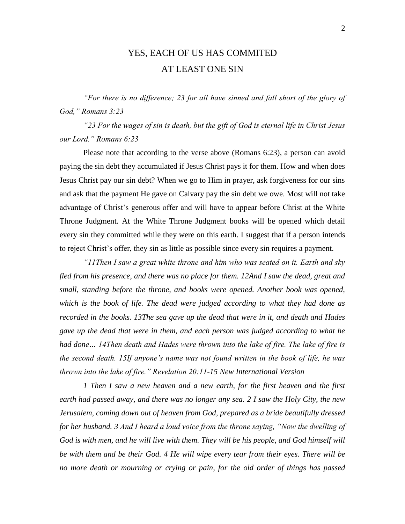#### YES, EACH OF US HAS COMMITED AT LEAST ONE SIN

*"For there is no difference; 23 for all have sinned and fall short of the glory of God," Romans 3:23* 

*"23 For the wages of sin is death, but the gift of God is eternal life in Christ Jesus our Lord." Romans 6:23* 

Please note that according to the verse above (Romans 6:23), a person can avoid paying the sin debt they accumulated if Jesus Christ pays it for them. How and when does Jesus Christ pay our sin debt? When we go to Him in prayer, ask forgiveness for our sins and ask that the payment He gave on Calvary pay the sin debt we owe. Most will not take advantage of Christ's generous offer and will have to appear before Christ at the White Throne Judgment. At the White Throne Judgment books will be opened which detail every sin they committed while they were on this earth. I suggest that if a person intends to reject Christ's offer, they sin as little as possible since every sin requires a payment.

*"11Then I saw a great white throne and him who was seated on it. Earth and sky fled from his presence, and there was no place for them. 12And I saw the dead, great and small, standing before the throne, and books were opened. Another book was opened, which is the book of life. The dead were judged according to what they had done as recorded in the books. 13The sea gave up the dead that were in it, and death and Hades gave up the dead that were in them, and each person was judged according to what he had done… 14Then death and Hades were thrown into the lake of fire. The lake of fire is the second death. 15If anyone's name was not found written in the book of life, he was thrown into the lake of fire." Revelation 20:11-15 New International Version* 

*1 Then I saw a new heaven and a new earth, for the first heaven and the first earth had passed away, and there was no longer any sea. 2 I saw the Holy City, the new Jerusalem, coming down out of heaven from God, prepared as a bride beautifully dressed for her husband. 3 And I heard a loud voice from the throne saying, "Now the dwelling of God is with men, and he will live with them. They will be his people, and God himself will be with them and be their God. 4 He will wipe every tear from their eyes. There will be no more death or mourning or crying or pain, for the old order of things has passed*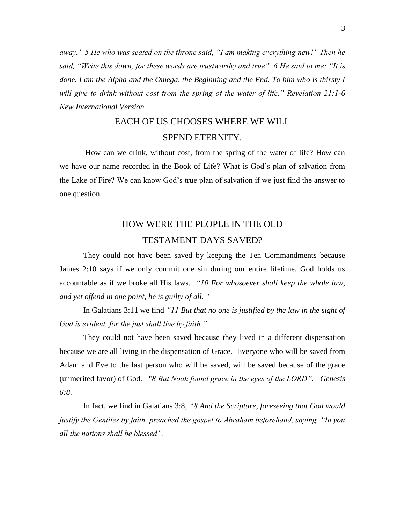*away." 5 He who was seated on the throne said, "I am making everything new!" Then he said, "Write this down, for these words are trustworthy and true". 6 He said to me: "It is done. I am the Alpha and the Omega, the Beginning and the End. To him who is thirsty I will give to drink without cost from the spring of the water of life." Revelation 21:1-6 New International Version*

#### EACH OF US CHOOSES WHERE WE WILL SPEND ETERNITY.

How can we drink, without cost, from the spring of the water of life? How can we have our name recorded in the Book of Life? What is God's plan of salvation from the Lake of Fire? We can know God's true plan of salvation if we just find the answer to one question.

#### HOW WERE THE PEOPLE IN THE OLD TESTAMENT DAYS SAVED?

They could not have been saved by keeping the Ten Commandments because James 2:10 says if we only commit one sin during our entire lifetime, God holds us accountable as if we broke all His laws. *"10 For whosoever shall keep the whole law, and yet offend in one point, he is guilty of all. "*

In Galatians 3:11 we find *"11 But that no one is justified by the law in the sight of God is evident, for the just shall live by faith."* 

They could not have been saved because they lived in a different dispensation because we are all living in the dispensation of Grace. Everyone who will be saved from Adam and Eve to the last person who will be saved, will be saved because of the grace (unmerited favor) of God. "*8 But Noah found grace in the eyes of the LORD". Genesis 6:8*.

In fact, we find in Galatians 3:8, *"8 And the Scripture, foreseeing that God would justify the Gentiles by faith, preached the gospel to Abraham beforehand, saying, "In you all the nations shall be blessed".*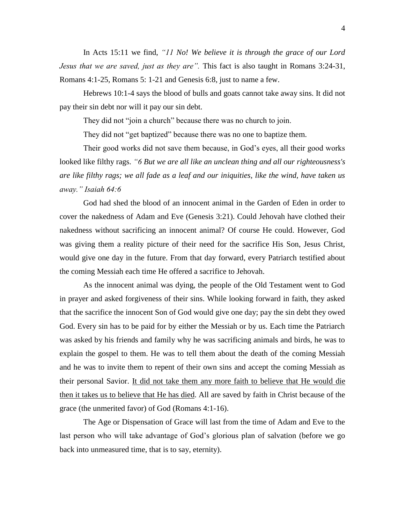In Acts 15:11 we find, *"11 No! We believe it is through the grace of our Lord Jesus that we are saved, just as they are".* This fact is also taught in Romans 3:24-31, Romans 4:1-25, Romans 5: 1-21 and Genesis 6:8, just to name a few.

Hebrews 10:1-4 says the blood of bulls and goats cannot take away sins. It did not pay their sin debt nor will it pay our sin debt.

They did not "join a church" because there was no church to join.

They did not "get baptized" because there was no one to baptize them.

Their good works did not save them because, in God's eyes, all their good works looked like filthy rags. *"6 But we are all like an unclean thing and all our righteousness's are like filthy rags; we all fade as a leaf and our iniquities, like the wind, have taken us away." Isaiah 64:6* 

God had shed the blood of an innocent animal in the Garden of Eden in order to cover the nakedness of Adam and Eve (Genesis 3:21). Could Jehovah have clothed their nakedness without sacrificing an innocent animal? Of course He could. However, God was giving them a reality picture of their need for the sacrifice His Son, Jesus Christ, would give one day in the future. From that day forward, every Patriarch testified about the coming Messiah each time He offered a sacrifice to Jehovah.

As the innocent animal was dying, the people of the Old Testament went to God in prayer and asked forgiveness of their sins. While looking forward in faith, they asked that the sacrifice the innocent Son of God would give one day; pay the sin debt they owed God. Every sin has to be paid for by either the Messiah or by us. Each time the Patriarch was asked by his friends and family why he was sacrificing animals and birds, he was to explain the gospel to them. He was to tell them about the death of the coming Messiah and he was to invite them to repent of their own sins and accept the coming Messiah as their personal Savior. It did not take them any more faith to believe that He would die then it takes us to believe that He has died. All are saved by faith in Christ because of the grace (the unmerited favor) of God (Romans 4:1-16).

The Age or Dispensation of Grace will last from the time of Adam and Eve to the last person who will take advantage of God's glorious plan of salvation (before we go back into unmeasured time, that is to say, eternity).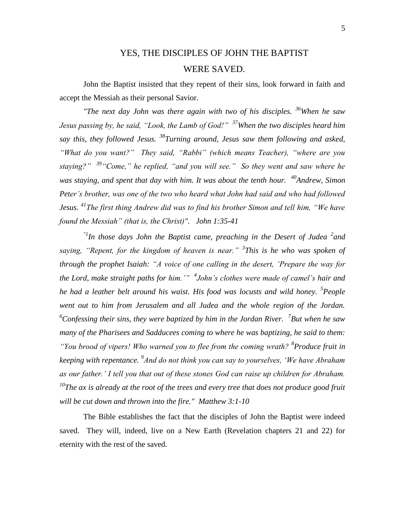## YES, THE DISCIPLES OF JOHN THE BAPTIST WERE SAVED.

John the Baptist insisted that they repent of their sins, look forward in faith and accept the Messiah as their personal Savior.

*"The next day John was there again with two of his disciples. <sup>36</sup>When he saw Jesus passing by, he said, "Look, the Lamb of God!" <sup>37</sup>When the two disciples heard him say this, they followed Jesus. <sup>38</sup>Turning around, Jesus saw them following and asked, "What do you want?" They said, "Rabbi" (which means Teacher), "where are you staying?" <sup>39</sup>"Come," he replied, "and you will see." So they went and saw where he was staying, and spent that day with him. It was about the tenth hour. <sup>40</sup>Andrew, Simon Peter's brother, was one of the two who heard what John had said and who had followed Jesus. <sup>41</sup>The first thing Andrew did was to find his brother Simon and tell him, "We have found the Messiah" (that is, the Christ)". John 1:35-41*

<sup>"1</sup>In those days John the Baptist came, preaching in the Desert of Judea<sup>2</sup> and *saying, "Repent, for the kingdom of heaven is near." <sup>3</sup> This is he who was spoken of through the prophet Isaiah: "A voice of one calling in the desert, 'Prepare the way for the Lord, make straight paths for him.'" 4 John's clothes were made of camel's hair and he had a leather belt around his waist. His food was locusts and wild honey. <sup>5</sup> People went out to him from Jerusalem and all Judea and the whole region of the Jordan.*  <sup>6</sup>Confessing their sins, they were baptized by him in the Jordan River. <sup>7</sup> But when he saw *many of the Pharisees and Sadducees coming to where he was baptizing, he said to them: "You brood of vipers! Who warned you to flee from the coming wrath? <sup>8</sup> Produce fruit in keeping with repentance. <sup>9</sup> And do not think you can say to yourselves, 'We have Abraham as our father.' I tell you that out of these stones God can raise up children for Abraham. <sup>10</sup>The ax is already at the root of the trees and every tree that does not produce good fruit will be cut down and thrown into the fire." Matthew 3:1-10*

The Bible establishes the fact that the disciples of John the Baptist were indeed saved. They will, indeed, live on a New Earth (Revelation chapters 21 and 22) for eternity with the rest of the saved.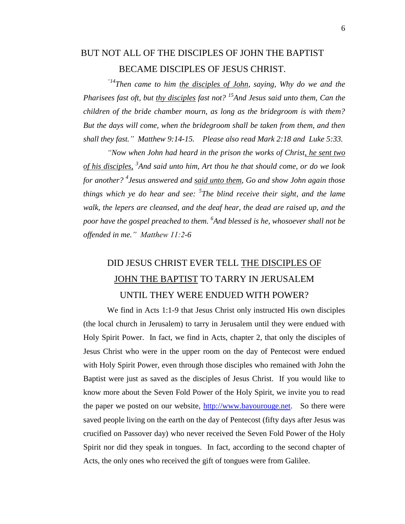## BUT NOT ALL OF THE DISCIPLES OF JOHN THE BAPTIST BECAME DISCIPLES OF JESUS CHRIST.

*"14Then came to him the disciples of John, saying, Why do we and the Pharisees fast oft, but thy disciples fast not? <sup>15</sup>And Jesus said unto them, Can the children of the bride chamber mourn, as long as the bridegroom is with them? But the days will come, when the bridegroom shall be taken from them, and then shall they fast." Matthew 9:14-15. Please also read Mark 2:18 and Luke 5:33.*

*"Now when John had heard in the prison the works of Christ, he sent two of his disciples, <sup>3</sup> And said unto him, Art thou he that should come, or do we look for another? <sup>4</sup> Jesus answered and said unto them, Go and show John again those things which ye do hear and see: <sup>5</sup> The blind receive their sight, and the lame walk, the lepers are cleansed, and the deaf hear, the dead are raised up, and the poor have the gospel preached to them. <sup>6</sup> And blessed is he, whosoever shall not be offended in me." Matthew 11:2-6* 

# DID JESUS CHRIST EVER TELL THE DISCIPLES OF JOHN THE BAPTIST TO TARRY IN JERUSALEM UNTIL THEY WERE ENDUED WITH POWER?

We find in Acts 1:1-9 that Jesus Christ only instructed His own disciples (the local church in Jerusalem) to tarry in Jerusalem until they were endued with Holy Spirit Power. In fact, we find in Acts, chapter 2, that only the disciples of Jesus Christ who were in the upper room on the day of Pentecost were endued with Holy Spirit Power, even through those disciples who remained with John the Baptist were just as saved as the disciples of Jesus Christ. If you would like to know more about the Seven Fold Power of the Holy Spirit, we invite you to read the paper we posted on our website, [http://www.bayourouge.net.](http://www.bayourouge.net/) So there were saved people living on the earth on the day of Pentecost (fifty days after Jesus was crucified on Passover day) who never received the Seven Fold Power of the Holy Spirit nor did they speak in tongues. In fact, according to the second chapter of Acts, the only ones who received the gift of tongues were from Galilee.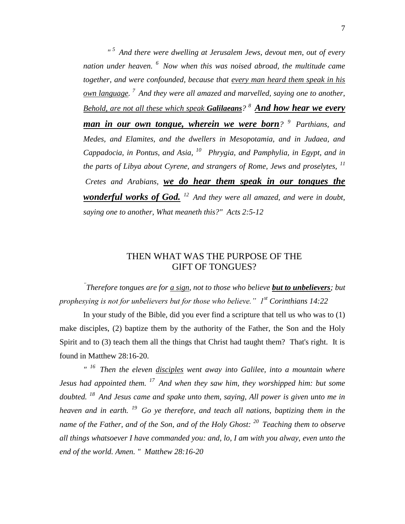*" <sup>5</sup>And there were dwelling at Jerusalem Jews, devout men, out of every nation under heaven. <sup>6</sup>Now when this was noised abroad, the multitude came together, and were confounded, because that every man heard them speak in his own language. <sup>7</sup>And they were all amazed and marvelled, saying one to another, Behold, are not all these which speak Galilaeans? <sup>8</sup>And how hear we every man in our own tongue, wherein we were born? <sup>9</sup>Parthians, and Medes, and Elamites, and the dwellers in Mesopotamia, and in Judaea, and Cappadocia, in Pontus, and Asia, <sup>10</sup>Phrygia, and Pamphylia, in Egypt, and in the parts of Libya about Cyrene, and strangers of Rome, Jews and proselytes, <sup>11</sup> Cretes and Arabians, we do hear them speak in our tongues the wonderful works of God. <sup>12</sup>And they were all amazed, and were in doubt, saying one to another, What meaneth this?" Acts 2:5-12* 

#### THEN WHAT WAS THE PURPOSE OF THE GIFT OF TONGUES?

*" Therefore tongues are for a sign, not to those who believe but to unbelievers; but prophesying is not for unbelievers but for those who believe." 1st Corinthians 14:22*

In your study of the Bible, did you ever find a scripture that tell us who was to (1) make disciples, (2) baptize them by the authority of the Father, the Son and the Holy Spirit and to (3) teach them all the things that Christ had taught them? That's right. It is found in Matthew 28:16-20.

*" <sup>16</sup>Then the eleven disciples went away into Galilee, into a mountain where Jesus had appointed them. <sup>17</sup>And when they saw him, they worshipped him: but some doubted. <sup>18</sup>And Jesus came and spake unto them, saying, All power is given unto me in heaven and in earth. <sup>19</sup>Go ye therefore, and teach all nations, baptizing them in the name of the Father, and of the Son, and of the Holy Ghost: <sup>20</sup>Teaching them to observe all things whatsoever I have commanded you: and, lo, I am with you alway, even unto the end of the world. Amen. " Matthew 28:16-20*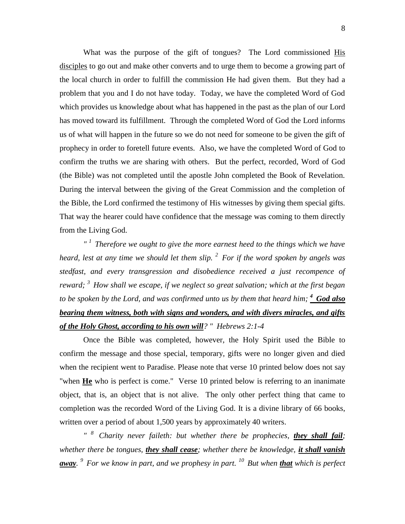What was the purpose of the gift of tongues? The Lord commissioned His disciples to go out and make other converts and to urge them to become a growing part of the local church in order to fulfill the commission He had given them. But they had a problem that you and I do not have today. Today, we have the completed Word of God which provides us knowledge about what has happened in the past as the plan of our Lord has moved toward its fulfillment. Through the completed Word of God the Lord informs us of what will happen in the future so we do not need for someone to be given the gift of prophecy in order to foretell future events. Also, we have the completed Word of God to confirm the truths we are sharing with others. But the perfect, recorded, Word of God (the Bible) was not completed until the apostle John completed the Book of Revelation. During the interval between the giving of the Great Commission and the completion of the Bible, the Lord confirmed the testimony of His witnesses by giving them special gifts. That way the hearer could have confidence that the message was coming to them directly from the Living God.

*" <sup>1</sup>Therefore we ought to give the more earnest heed to the things which we have heard, lest at any time we should let them slip. <sup>2</sup>For if the word spoken by angels was stedfast, and every transgression and disobedience received a just recompence of reward; <sup>3</sup>How shall we escape, if we neglect so great salvation; which at the first began to be spoken by the Lord, and was confirmed unto us by them that heard him; <sup>4</sup>God also bearing them witness, both with signs and wonders, and with divers miracles, and gifts of the Holy Ghost, according to his own will? " Hebrews 2:1-4* 

Once the Bible was completed, however, the Holy Spirit used the Bible to confirm the message and those special, temporary, gifts were no longer given and died when the recipient went to Paradise. Please note that verse 10 printed below does not say "when **He** who is perfect is come." Verse 10 printed below is referring to an inanimate object, that is, an object that is not alive. The only other perfect thing that came to completion was the recorded Word of the Living God. It is a divine library of 66 books, written over a period of about 1,500 years by approximately 40 writers.

*" <sup>8</sup>Charity never faileth: but whether there be prophecies, they shall fail; whether there be tongues, they shall cease; whether there be knowledge, it shall vanish away. <sup>9</sup>For we know in part, and we prophesy in part. <sup>10</sup>But when that which is perfect*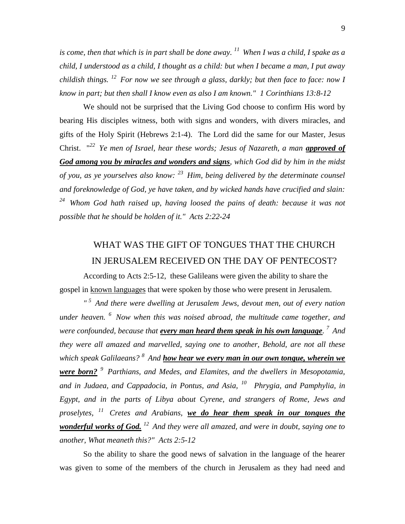*is come, then that which is in part shall be done away. <sup>11</sup>When I was a child, I spake as a child, I understood as a child, I thought as a child: but when I became a man, I put away childish things. <sup>12</sup>For now we see through a glass, darkly; but then face to face: now I know in part; but then shall I know even as also I am known." 1 Corinthians 13:8-12* 

We should not be surprised that the Living God choose to confirm His word by bearing His disciples witness, both with signs and wonders, with divers miracles, and gifts of the Holy Spirit (Hebrews 2:1-4). The Lord did the same for our Master, Jesus Christ. "*<sup>22</sup>Ye men of Israel, hear these words; Jesus of Nazareth, a man approved of God among you by miracles and wonders and signs, which God did by him in the midst of you, as ye yourselves also know: <sup>23</sup>Him, being delivered by the determinate counsel and foreknowledge of God, ye have taken, and by wicked hands have crucified and slain: <sup>24</sup>Whom God hath raised up, having loosed the pains of death: because it was not possible that he should be holden of it." Acts 2:22-24*

# WHAT WAS THE GIFT OF TONGUES THAT THE CHURCH IN JERUSALEM RECEIVED ON THE DAY OF PENTECOST?

According to Acts 2:5-12, these Galileans were given the ability to share the gospel in known languages that were spoken by those who were present in Jerusalem.

*" <sup>5</sup>And there were dwelling at Jerusalem Jews, devout men, out of every nation under heaven. <sup>6</sup>Now when this was noised abroad, the multitude came together, and were confounded, because that every man heard them speak in his own language. <sup>7</sup>And they were all amazed and marvelled, saying one to another, Behold, are not all these which speak Galilaeans? <sup>8</sup>And how hear we every man in our own tongue, wherein we were born? <sup>9</sup>Parthians, and Medes, and Elamites, and the dwellers in Mesopotamia, and in Judaea, and Cappadocia, in Pontus, and Asia, <sup>10</sup>Phrygia, and Pamphylia, in Egypt, and in the parts of Libya about Cyrene, and strangers of Rome, Jews and proselytes, <sup>11</sup>Cretes and Arabians, we do hear them speak in our tongues the wonderful works of God. <sup>12</sup>And they were all amazed, and were in doubt, saying one to another, What meaneth this?" Acts 2:5-12* 

So the ability to share the good news of salvation in the language of the hearer was given to some of the members of the church in Jerusalem as they had need and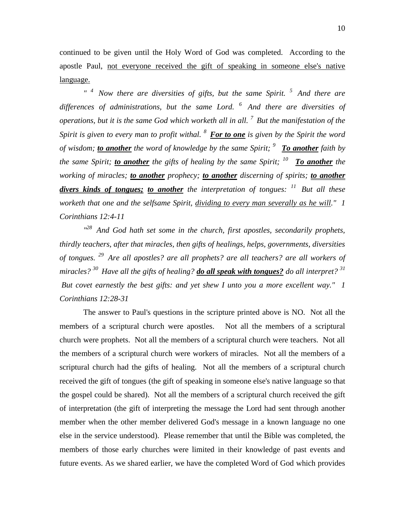continued to be given until the Holy Word of God was completed. According to the apostle Paul, not everyone received the gift of speaking in someone else's native language.

*" <sup>4</sup>Now there are diversities of gifts, but the same Spirit. <sup>5</sup>And there are differences of administrations, but the same Lord. <sup>6</sup>And there are diversities of operations, but it is the same God which worketh all in all. <sup>7</sup>But the manifestation of the Spirit is given to every man to profit withal. <sup>8</sup>For to one is given by the Spirit the word of wisdom; to another the word of knowledge by the same Spirit; <sup>9</sup>To another faith by the same Spirit; to another the gifts of healing by the same Spirit; <sup>10</sup>To another the working of miracles; to another prophecy; to another discerning of spirits; to another divers kinds of tongues; to another the interpretation of tongues: <sup>11</sup>But all these worketh that one and the selfsame Spirit, dividing to every man severally as he will." 1 Corinthians 12:4-11* 

*" <sup>28</sup>And God hath set some in the church, first apostles, secondarily prophets, thirdly teachers, after that miracles, then gifts of healings, helps, governments, diversities of tongues. <sup>29</sup>Are all apostles? are all prophets? are all teachers? are all workers of miracles? <sup>30</sup>Have all the gifts of healing? do all speak with tongues? do all interpret? <sup>31</sup> But covet earnestly the best gifts: and yet shew I unto you a more excellent way." 1 Corinthians 12:28-31* 

The answer to Paul's questions in the scripture printed above is NO. Not all the members of a scriptural church were apostles. Not all the members of a scriptural church were prophets. Not all the members of a scriptural church were teachers. Not all the members of a scriptural church were workers of miracles. Not all the members of a scriptural church had the gifts of healing. Not all the members of a scriptural church received the gift of tongues (the gift of speaking in someone else's native language so that the gospel could be shared). Not all the members of a scriptural church received the gift of interpretation (the gift of interpreting the message the Lord had sent through another member when the other member delivered God's message in a known language no one else in the service understood). Please remember that until the Bible was completed, the members of those early churches were limited in their knowledge of past events and future events. As we shared earlier, we have the completed Word of God which provides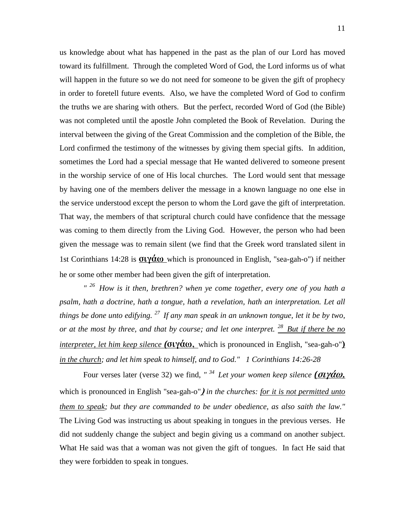us knowledge about what has happened in the past as the plan of our Lord has moved toward its fulfillment. Through the completed Word of God, the Lord informs us of what will happen in the future so we do not need for someone to be given the gift of prophecy in order to foretell future events. Also, we have the completed Word of God to confirm the truths we are sharing with others. But the perfect, recorded Word of God (the Bible) was not completed until the apostle John completed the Book of Revelation. During the interval between the giving of the Great Commission and the completion of the Bible, the Lord confirmed the testimony of the witnesses by giving them special gifts. In addition, sometimes the Lord had a special message that He wanted delivered to someone present in the worship service of one of His local churches. The Lord would sent that message by having one of the members deliver the message in a known language no one else in the service understood except the person to whom the Lord gave the gift of interpretation. That way, the members of that scriptural church could have confidence that the message was coming to them directly from the Living God. However, the person who had been given the message was to remain silent (we find that the Greek word translated silent in 1st Corinthians 14:28 is **σιγάω** which is pronounced in English, "sea-gah-o") if neither he or some other member had been given the gift of interpretation.

*" <sup>26</sup>How is it then, brethren? when ye come together, every one of you hath a psalm, hath a doctrine, hath a tongue, hath a revelation, hath an interpretation. Let all things be done unto edifying. <sup>27</sup>If any man speak in an unknown tongue, let it be by two, or at the most by three, and that by course; and let one interpret. <sup>28</sup>But if there be no interpreter, let him keep silence (***σιγάω,** which is pronounced in English, "sea-gah-o"**)** *in the church; and let him speak to himself, and to God." 1 Corinthians 14:26-28* 

Four verses later (verse 32) we find, *" <sup>34</sup>Let your women keep silence (***σιγάω,** which is pronounced in English "sea-gah-o"**)** *in the churches: for it is not permitted unto them to speak; but they are commanded to be under obedience, as also saith the law."*  The Living God was instructing us about speaking in tongues in the previous verses. He did not suddenly change the subject and begin giving us a command on another subject. What He said was that a woman was not given the gift of tongues. In fact He said that they were forbidden to speak in tongues.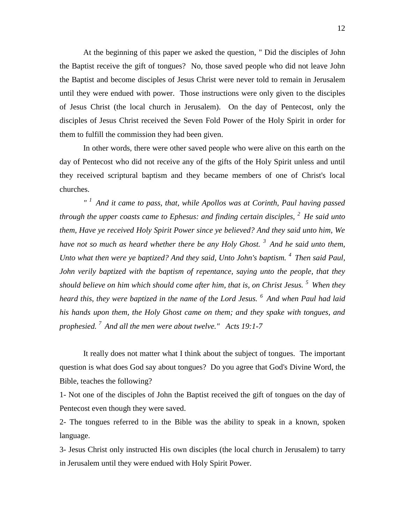At the beginning of this paper we asked the question, " Did the disciples of John the Baptist receive the gift of tongues? No, those saved people who did not leave John the Baptist and become disciples of Jesus Christ were never told to remain in Jerusalem until they were endued with power. Those instructions were only given to the disciples of Jesus Christ (the local church in Jerusalem). On the day of Pentecost, only the disciples of Jesus Christ received the Seven Fold Power of the Holy Spirit in order for them to fulfill the commission they had been given.

In other words, there were other saved people who were alive on this earth on the day of Pentecost who did not receive any of the gifts of the Holy Spirit unless and until they received scriptural baptism and they became members of one of Christ's local churches.

*" <sup>1</sup>And it came to pass, that, while Apollos was at Corinth, Paul having passed through the upper coasts came to Ephesus: and finding certain disciples, <sup>2</sup>He said unto them, Have ye received Holy Spirit Power since ye believed? And they said unto him, We have not so much as heard whether there be any Holy Ghost. <sup>3</sup>And he said unto them, Unto what then were ye baptized? And they said, Unto John's baptism. <sup>4</sup> Then said Paul, John verily baptized with the baptism of repentance, saying unto the people, that they should believe on him which should come after him, that is, on Christ Jesus. <sup>5</sup>When they heard this, they were baptized in the name of the Lord Jesus. <sup>6</sup>And when Paul had laid his hands upon them, the Holy Ghost came on them; and they spake with tongues, and prophesied. <sup>7</sup>And all the men were about twelve." Acts 19:1-7* 

It really does not matter what I think about the subject of tongues. The important question is what does God say about tongues? Do you agree that God's Divine Word, the Bible, teaches the following?

1- Not one of the disciples of John the Baptist received the gift of tongues on the day of Pentecost even though they were saved.

2- The tongues referred to in the Bible was the ability to speak in a known, spoken language.

3- Jesus Christ only instructed His own disciples (the local church in Jerusalem) to tarry in Jerusalem until they were endued with Holy Spirit Power.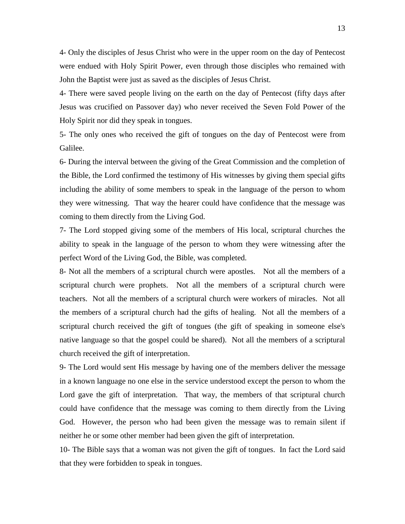4- Only the disciples of Jesus Christ who were in the upper room on the day of Pentecost were endued with Holy Spirit Power, even through those disciples who remained with John the Baptist were just as saved as the disciples of Jesus Christ.

4- There were saved people living on the earth on the day of Pentecost (fifty days after Jesus was crucified on Passover day) who never received the Seven Fold Power of the Holy Spirit nor did they speak in tongues.

5- The only ones who received the gift of tongues on the day of Pentecost were from Galilee.

6- During the interval between the giving of the Great Commission and the completion of the Bible, the Lord confirmed the testimony of His witnesses by giving them special gifts including the ability of some members to speak in the language of the person to whom they were witnessing. That way the hearer could have confidence that the message was coming to them directly from the Living God.

7- The Lord stopped giving some of the members of His local, scriptural churches the ability to speak in the language of the person to whom they were witnessing after the perfect Word of the Living God, the Bible, was completed.

8- Not all the members of a scriptural church were apostles. Not all the members of a scriptural church were prophets. Not all the members of a scriptural church were teachers. Not all the members of a scriptural church were workers of miracles. Not all the members of a scriptural church had the gifts of healing. Not all the members of a scriptural church received the gift of tongues (the gift of speaking in someone else's native language so that the gospel could be shared). Not all the members of a scriptural church received the gift of interpretation.

9- The Lord would sent His message by having one of the members deliver the message in a known language no one else in the service understood except the person to whom the Lord gave the gift of interpretation. That way, the members of that scriptural church could have confidence that the message was coming to them directly from the Living God. However, the person who had been given the message was to remain silent if neither he or some other member had been given the gift of interpretation.

10- The Bible says that a woman was not given the gift of tongues. In fact the Lord said that they were forbidden to speak in tongues.